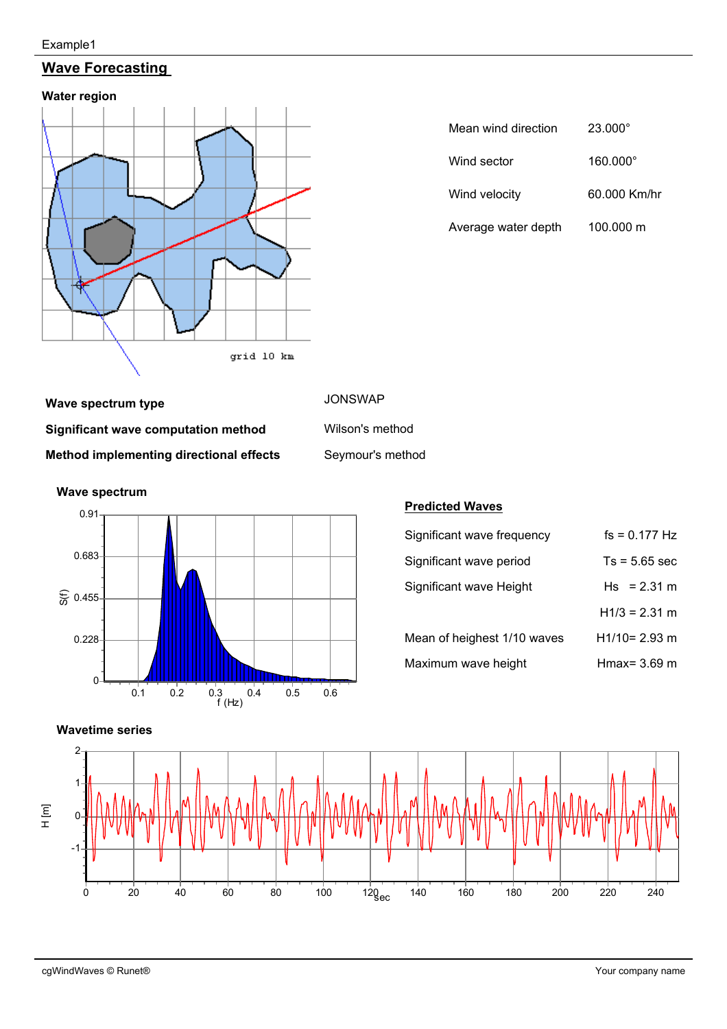#### Example1

# **Wave Forecasting**





| Mean wind direction | $23.000^{\circ}$ |
|---------------------|------------------|
| Wind sector         | 160.000°         |
| Wind velocity       | 60.000 Km/hr     |
| Average water depth | 100.000 m        |

**Wave spectrum type JONSWAP Significant wave computation method** Wilson's method **Method implementing directional effects** Seymour's method



## **Predicted Waves**

| Significant wave frequency  | $fs = 0.177 Hz$ |
|-----------------------------|-----------------|
| Significant wave period     | $Ts = 5.65$ sec |
| Significant wave Height     | $Hs = 2.31 m$   |
|                             | $H1/3 = 2.31$ m |
| Mean of heighest 1/10 waves | $H1/10=2.93$ m  |
| Maximum wave height         | Hmax= 3.69 m    |



# **Wave spectrum**